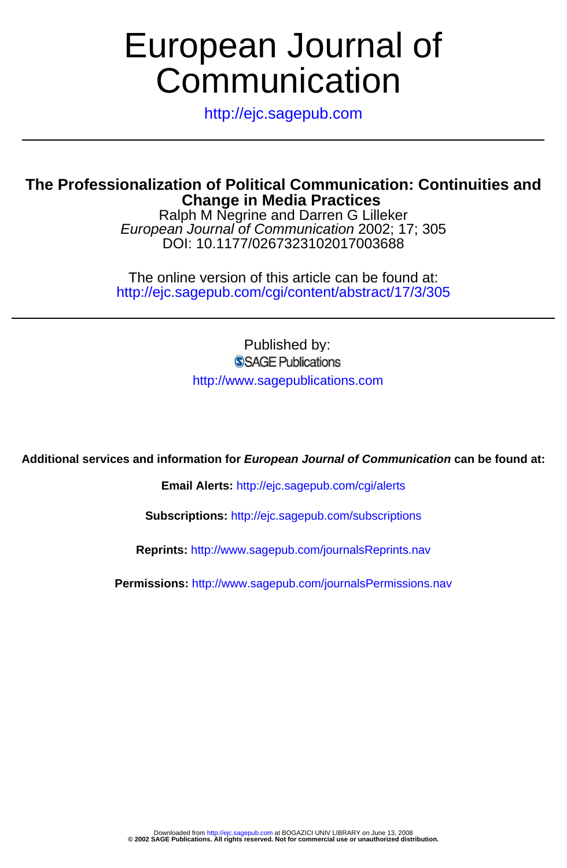# **Communication** European Journal of

http://ejc.sagepub.com

### **Change in Media Practices The Professionalization of Political Communication: Continuities and**

DOI: 10.1177/0267323102017003688 European Journal of Communication 2002; 17; 305 Ralph M Negrine and Darren G Lilleker

http://ejc.sagepub.com/cgi/content/abstract/17/3/305 The online version of this article can be found at:

> Published by: SSAGE Publications http://www.sagepublications.com

**Additional services and information for European Journal of Communication can be found at:**

**Email Alerts:** <http://ejc.sagepub.com/cgi/alerts>

**Subscriptions:** <http://ejc.sagepub.com/subscriptions>

**Reprints:** <http://www.sagepub.com/journalsReprints.nav>

**Permissions:** <http://www.sagepub.com/journalsPermissions.nav>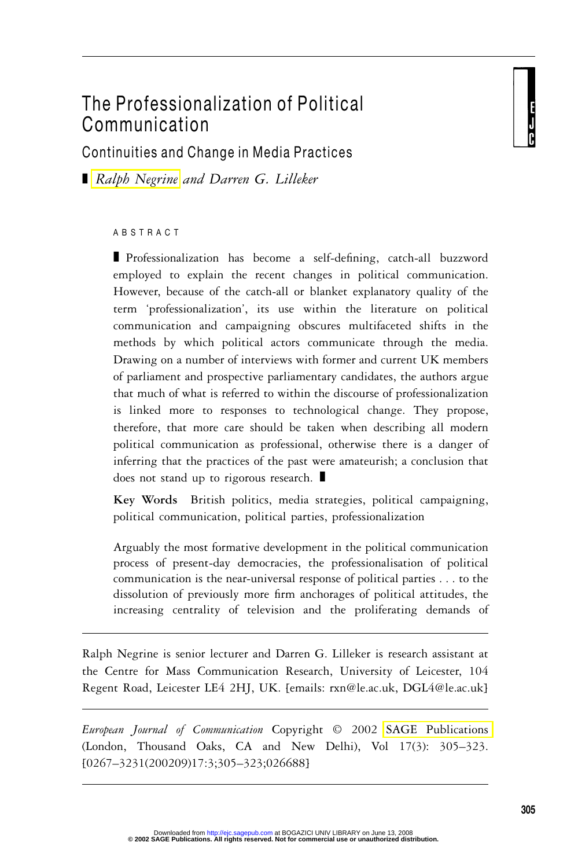## The Professionalization of Political Communication

Continuities and Change in Media Practices

**Ralph Negrine and Darren G. Lilleker** 

#### ABSTRACT

**Professionalization** has become a self-defining, catch-all buzzword employed to explain the recent changes in political communication. However, because of the catch-all or blanket explanatory quality of the term 'professionalization', its use within the literature on political communication and campaigning obscures multifaceted shifts in the methods by which political actors communicate through the media. Drawing on a number of interviews with former and current UK members of parliament and prospective parliamentary candidates, the authors argue that much of what is referred to within the discourse of professionalization is linked more to responses to technological change. They propose, therefore, that more care should be taken when describing all modern political communication as professional, otherwise there is a danger of inferring that the practices of the past were amateurish; a conclusion that does not stand up to rigorous research.  $\blacksquare$ 

**Key Words** British politics, media strategies, political campaigning, political communication, political parties, professionalization

Arguably the most formative development in the political communication process of present-day democracies, the professionalisation of political communication is the near-universal response of political parties . . . to the dissolution of previously more firm anchorages of political attitudes, the increasing centrality of television and the proliferating demands of

Ralph Negrine is senior lecturer and Darren G. Lilleker is research assistant at the Centre for Mass Communication Research, University of Leicester, 104 Regent Road, Leicester LE4 2HJ, UK. [emails: rxn@le.ac.uk, DGL4@le.ac.uk]

*European Journal of Communication* Copyright © 2002 [SAGE Publications](www.sagepublications.com) (London, Thousand Oaks, CA and New Delhi), Vol 17(3): 305–323. [0267–3231(200209)17:3;305–323;026688]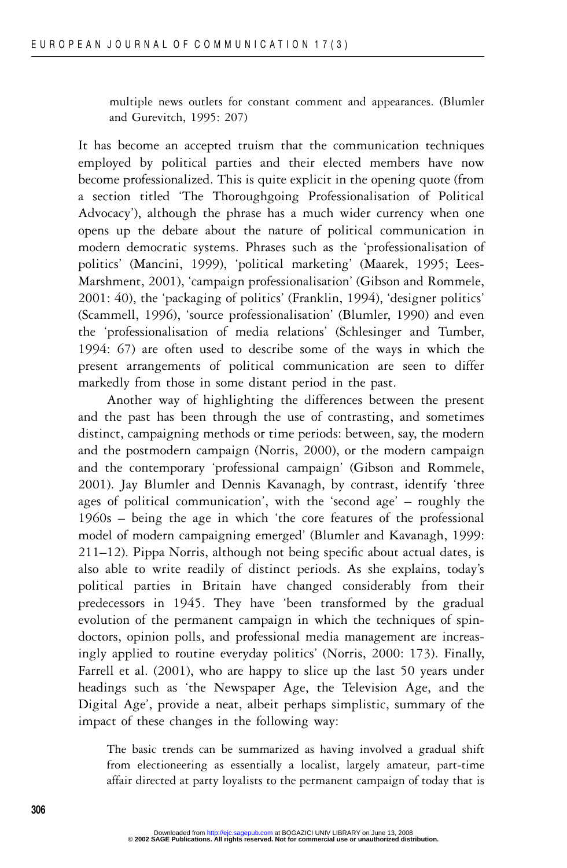multiple news outlets for constant comment and appearances. (Blumler and Gurevitch, 1995: 207)

It has become an accepted truism that the communication techniques employed by political parties and their elected members have now become professionalized. This is quite explicit in the opening quote (from a section titled 'The Thoroughgoing Professionalisation of Political Advocacy'), although the phrase has a much wider currency when one opens up the debate about the nature of political communication in modern democratic systems. Phrases such as the 'professionalisation of politics' (Mancini, 1999), 'political marketing' (Maarek, 1995; Lees-Marshment, 2001), 'campaign professionalisation' (Gibson and Rommele, 2001: 40), the 'packaging of politics' (Franklin, 1994), 'designer politics' (Scammell, 1996), 'source professionalisation' (Blumler, 1990) and even the 'professionalisation of media relations' (Schlesinger and Tumber, 1994: 67) are often used to describe some of the ways in which the present arrangements of political communication are seen to differ markedly from those in some distant period in the past.

Another way of highlighting the differences between the present and the past has been through the use of contrasting, and sometimes distinct, campaigning methods or time periods: between, say, the modern and the postmodern campaign (Norris, 2000), or the modern campaign and the contemporary 'professional campaign' (Gibson and Rommele, 2001). Jay Blumler and Dennis Kavanagh, by contrast, identify 'three ages of political communication', with the 'second age' – roughly the 1960s – being the age in which 'the core features of the professional model of modern campaigning emerged' (Blumler and Kavanagh, 1999: 211–12). Pippa Norris, although not being specific about actual dates, is also able to write readily of distinct periods. As she explains, today's political parties in Britain have changed considerably from their predecessors in 1945. They have 'been transformed by the gradual evolution of the permanent campaign in which the techniques of spindoctors, opinion polls, and professional media management are increasingly applied to routine everyday politics' (Norris, 2000: 173). Finally, Farrell et al. (2001), who are happy to slice up the last 50 years under headings such as 'the Newspaper Age, the Television Age, and the Digital Age', provide a neat, albeit perhaps simplistic, summary of the impact of these changes in the following way:

The basic trends can be summarized as having involved a gradual shift from electioneering as essentially a localist, largely amateur, part-time affair directed at party loyalists to the permanent campaign of today that is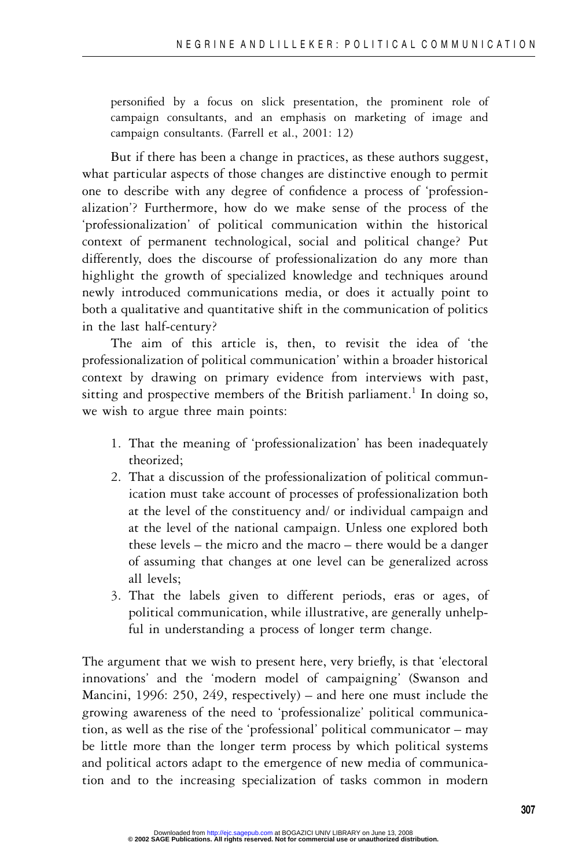personified by a focus on slick presentation, the prominent role of campaign consultants, and an emphasis on marketing of image and campaign consultants. (Farrell et al., 2001: 12)

But if there has been a change in practices, as these authors suggest, what particular aspects of those changes are distinctive enough to permit one to describe with any degree of confidence a process of 'professionalization'? Furthermore, how do we make sense of the process of the 'professionalization' of political communication within the historical context of permanent technological, social and political change? Put differently, does the discourse of professionalization do any more than highlight the growth of specialized knowledge and techniques around newly introduced communications media, or does it actually point to both a qualitative and quantitative shift in the communication of politics in the last half-century?

The aim of this article is, then, to revisit the idea of 'the professionalization of political communication' within a broader historical context by drawing on primary evidence from interviews with past, sitting and prospective members of the British parliament.<sup>1</sup> In doing so, we wish to argue three main points:

- 1. That the meaning of 'professionalization' has been inadequately theorized;
- 2. That a discussion of the professionalization of political communication must take account of processes of professionalization both at the level of the constituency and/ or individual campaign and at the level of the national campaign. Unless one explored both these levels – the micro and the macro – there would be a danger of assuming that changes at one level can be generalized across all levels;
- 3. That the labels given to different periods, eras or ages, of political communication, while illustrative, are generally unhelpful in understanding a process of longer term change.

The argument that we wish to present here, very briefly, is that 'electoral innovations' and the 'modern model of campaigning' (Swanson and Mancini, 1996: 250, 249, respectively) – and here one must include the growing awareness of the need to 'professionalize' political communication, as well as the rise of the 'professional' political communicator – may be little more than the longer term process by which political systems and political actors adapt to the emergence of new media of communication and to the increasing specialization of tasks common in modern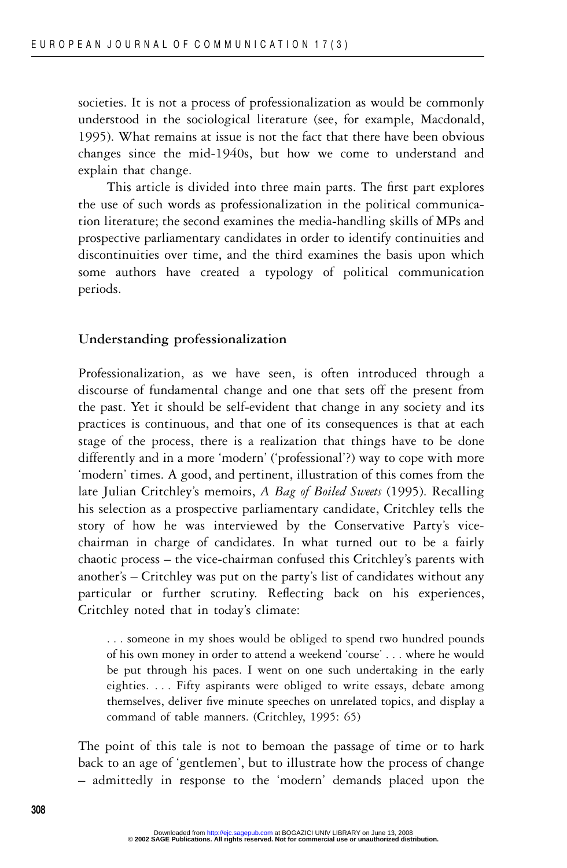societies. It is not a process of professionalization as would be commonly understood in the sociological literature (see, for example, Macdonald, 1995). What remains at issue is not the fact that there have been obvious changes since the mid-1940s, but how we come to understand and explain that change.

This article is divided into three main parts. The first part explores the use of such words as professionalization in the political communication literature; the second examines the media-handling skills of MPs and prospective parliamentary candidates in order to identify continuities and discontinuities over time, and the third examines the basis upon which some authors have created a typology of political communication periods.

#### **Understanding professionalization**

Professionalization, as we have seen, is often introduced through a discourse of fundamental change and one that sets off the present from the past. Yet it should be self-evident that change in any society and its practices is continuous, and that one of its consequences is that at each stage of the process, there is a realization that things have to be done differently and in a more 'modern' ('professional'?) way to cope with more 'modern' times. A good, and pertinent, illustration of this comes from the late Julian Critchley's memoirs, *A Bag of Boiled Sweets* (1995). Recalling his selection as a prospective parliamentary candidate, Critchley tells the story of how he was interviewed by the Conservative Party's vicechairman in charge of candidates. In what turned out to be a fairly chaotic process – the vice-chairman confused this Critchley's parents with another's – Critchley was put on the party's list of candidates without any particular or further scrutiny. Reflecting back on his experiences, Critchley noted that in today's climate:

. . . someone in my shoes would be obliged to spend two hundred pounds of his own money in order to attend a weekend 'course' . . . where he would be put through his paces. I went on one such undertaking in the early eighties. . . . Fifty aspirants were obliged to write essays, debate among themselves, deliver five minute speeches on unrelated topics, and display a command of table manners. (Critchley, 1995: 65)

The point of this tale is not to bemoan the passage of time or to hark back to an age of 'gentlemen', but to illustrate how the process of change – admittedly in response to the 'modern' demands placed upon the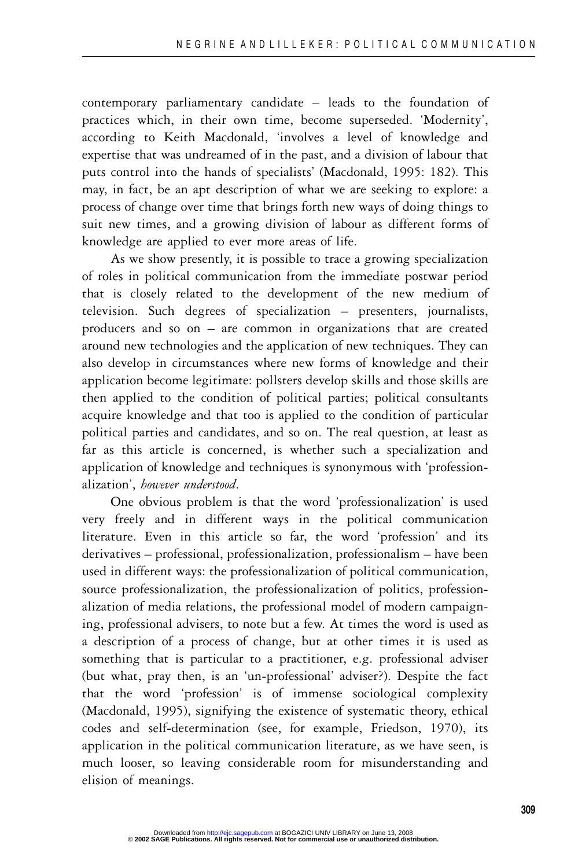contemporary parliamentary candidate – leads to the foundation of practices which, in their own time, become superseded. 'Modernity', according to Keith Macdonald, 'involves a level of knowledge and expertise that was undreamed of in the past, and a division of labour that puts control into the hands of specialists' (Macdonald, 1995: 182). This may, in fact, be an apt description of what we are seeking to explore: a process of change over time that brings forth new ways of doing things to suit new times, and a growing division of labour as different forms of knowledge are applied to ever more areas of life.

As we show presently, it is possible to trace a growing specialization of roles in political communication from the immediate postwar period that is closely related to the development of the new medium of television. Such degrees of specialization – presenters, journalists, producers and so on – are common in organizations that are created around new technologies and the application of new techniques. They can also develop in circumstances where new forms of knowledge and their application become legitimate: pollsters develop skills and those skills are then applied to the condition of political parties; political consultants acquire knowledge and that too is applied to the condition of particular political parties and candidates, and so on. The real question, at least as far as this article is concerned, is whether such a specialization and application of knowledge and techniques is synonymous with 'professionalization', *however understood*.

One obvious problem is that the word 'professionalization' is used very freely and in different ways in the political communication literature. Even in this article so far, the word 'profession' and its derivatives – professional, professionalization, professionalism – have been used in different ways: the professionalization of political communication, source professionalization, the professionalization of politics, professionalization of media relations, the professional model of modern campaigning, professional advisers, to note but a few. At times the word is used as a description of a process of change, but at other times it is used as something that is particular to a practitioner, e.g. professional adviser (but what, pray then, is an 'un-professional' adviser?). Despite the fact that the word 'profession' is of immense sociological complexity (Macdonald, 1995), signifying the existence of systematic theory, ethical codes and self-determination (see, for example, Friedson, 1970), its application in the political communication literature, as we have seen, is much looser, so leaving considerable room for misunderstanding and elision of meanings.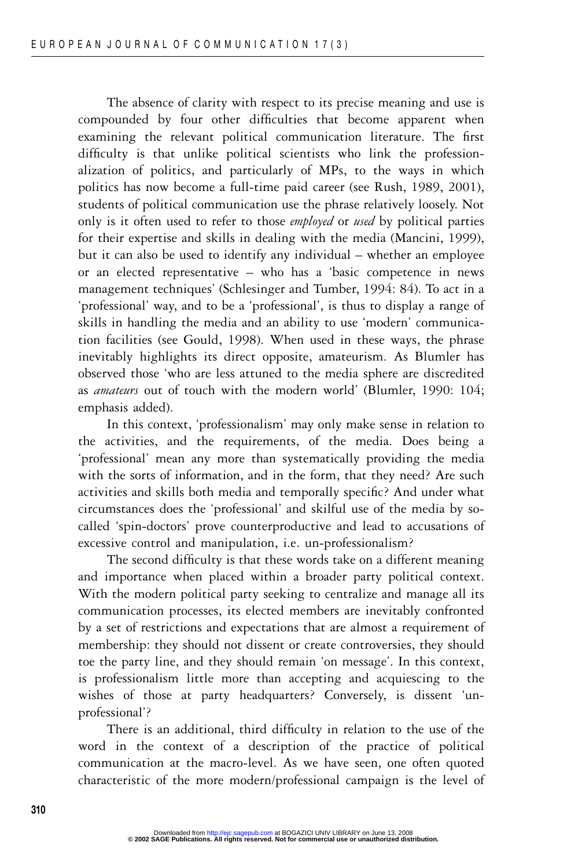The absence of clarity with respect to its precise meaning and use is compounded by four other difficulties that become apparent when examining the relevant political communication literature. The first difficulty is that unlike political scientists who link the professionalization of politics, and particularly of MPs, to the ways in which politics has now become a full-time paid career (see Rush, 1989, 2001), students of political communication use the phrase relatively loosely. Not only is it often used to refer to those *employed* or *used* by political parties for their expertise and skills in dealing with the media (Mancini, 1999), but it can also be used to identify any individual – whether an employee or an elected representative – who has a 'basic competence in news management techniques' (Schlesinger and Tumber, 1994: 84). To act in a 'professional' way, and to be a 'professional', is thus to display a range of skills in handling the media and an ability to use 'modern' communication facilities (see Gould, 1998). When used in these ways, the phrase inevitably highlights its direct opposite, amateurism. As Blumler has observed those 'who are less attuned to the media sphere are discredited as *amateurs* out of touch with the modern world' (Blumler, 1990: 104; emphasis added).

In this context, 'professionalism' may only make sense in relation to the activities, and the requirements, of the media. Does being a 'professional' mean any more than systematically providing the media with the sorts of information, and in the form, that they need? Are such activities and skills both media and temporally specific? And under what circumstances does the 'professional' and skilful use of the media by socalled 'spin-doctors' prove counterproductive and lead to accusations of excessive control and manipulation, i.e. un-professionalism?

The second difficulty is that these words take on a different meaning and importance when placed within a broader party political context. With the modern political party seeking to centralize and manage all its communication processes, its elected members are inevitably confronted by a set of restrictions and expectations that are almost a requirement of membership: they should not dissent or create controversies, they should toe the party line, and they should remain 'on message'. In this context, is professionalism little more than accepting and acquiescing to the wishes of those at party headquarters? Conversely, is dissent 'unprofessional'?

There is an additional, third difficulty in relation to the use of the word in the context of a description of the practice of political communication at the macro-level. As we have seen, one often quoted characteristic of the more modern/professional campaign is the level of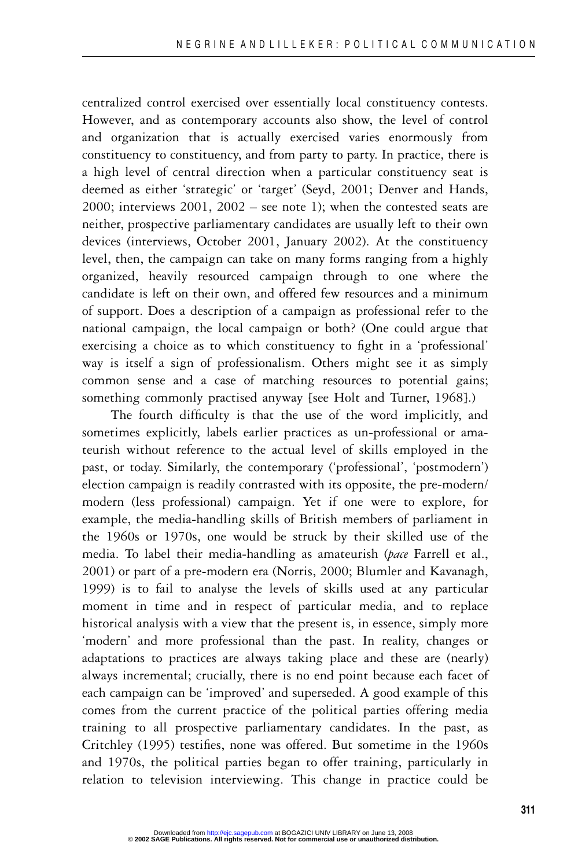centralized control exercised over essentially local constituency contests. However, and as contemporary accounts also show, the level of control and organization that is actually exercised varies enormously from constituency to constituency, and from party to party. In practice, there is a high level of central direction when a particular constituency seat is deemed as either 'strategic' or 'target' (Seyd, 2001; Denver and Hands, 2000; interviews 2001, 2002 – see note 1); when the contested seats are neither, prospective parliamentary candidates are usually left to their own devices (interviews, October 2001, January 2002). At the constituency level, then, the campaign can take on many forms ranging from a highly organized, heavily resourced campaign through to one where the candidate is left on their own, and offered few resources and a minimum of support. Does a description of a campaign as professional refer to the national campaign, the local campaign or both? (One could argue that exercising a choice as to which constituency to fight in a 'professional' way is itself a sign of professionalism. Others might see it as simply common sense and a case of matching resources to potential gains; something commonly practised anyway [see Holt and Turner, 1968].)

The fourth difficulty is that the use of the word implicitly, and sometimes explicitly, labels earlier practices as un-professional or amateurish without reference to the actual level of skills employed in the past, or today. Similarly, the contemporary ('professional', 'postmodern') election campaign is readily contrasted with its opposite, the pre-modern/ modern (less professional) campaign. Yet if one were to explore, for example, the media-handling skills of British members of parliament in the 1960s or 1970s, one would be struck by their skilled use of the media. To label their media-handling as amateurish (*pace* Farrell et al., 2001) or part of a pre-modern era (Norris, 2000; Blumler and Kavanagh, 1999) is to fail to analyse the levels of skills used at any particular moment in time and in respect of particular media, and to replace historical analysis with a view that the present is, in essence, simply more 'modern' and more professional than the past. In reality, changes or adaptations to practices are always taking place and these are (nearly) always incremental; crucially, there is no end point because each facet of each campaign can be 'improved' and superseded. A good example of this comes from the current practice of the political parties offering media training to all prospective parliamentary candidates. In the past, as Critchley (1995) testifies, none was offered. But sometime in the 1960s and 1970s, the political parties began to offer training, particularly in relation to television interviewing. This change in practice could be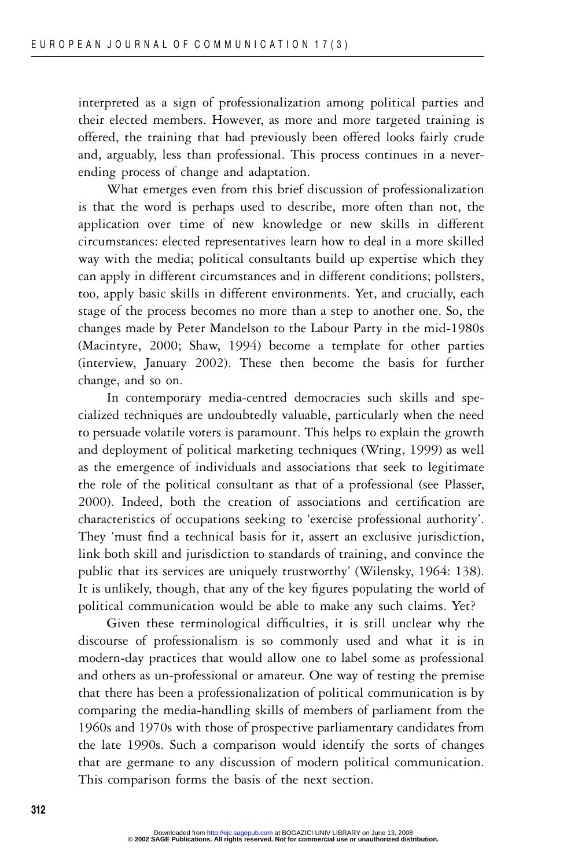interpreted as a sign of professionalization among political parties and their elected members. However, as more and more targeted training is offered, the training that had previously been offered looks fairly crude and, arguably, less than professional. This process continues in a neverending process of change and adaptation.

What emerges even from this brief discussion of professionalization is that the word is perhaps used to describe, more often than not, the application over time of new knowledge or new skills in different circumstances: elected representatives learn how to deal in a more skilled way with the media; political consultants build up expertise which they can apply in different circumstances and in different conditions; pollsters, too, apply basic skills in different environments. Yet, and crucially, each stage of the process becomes no more than a step to another one. So, the changes made by Peter Mandelson to the Labour Party in the mid-1980s (Macintyre, 2000; Shaw, 1994) become a template for other parties (interview, January 2002). These then become the basis for further change, and so on.

In contemporary media-centred democracies such skills and specialized techniques are undoubtedly valuable, particularly when the need to persuade volatile voters is paramount. This helps to explain the growth and deployment of political marketing techniques (Wring, 1999) as well as the emergence of individuals and associations that seek to legitimate the role of the political consultant as that of a professional (see Plasser, 2000). Indeed, both the creation of associations and certification are characteristics of occupations seeking to 'exercise professional authority'. They 'must find a technical basis for it, assert an exclusive jurisdiction, link both skill and jurisdiction to standards of training, and convince the public that its services are uniquely trustworthy' (Wilensky, 1964: 138). It is unlikely, though, that any of the key figures populating the world of political communication would be able to make any such claims. Yet?

Given these terminological difficulties, it is still unclear why the discourse of professionalism is so commonly used and what it is in modern-day practices that would allow one to label some as professional and others as un-professional or amateur. One way of testing the premise that there has been a professionalization of political communication is by comparing the media-handling skills of members of parliament from the 1960s and 1970s with those of prospective parliamentary candidates from the late 1990s. Such a comparison would identify the sorts of changes that are germane to any discussion of modern political communication. This comparison forms the basis of the next section.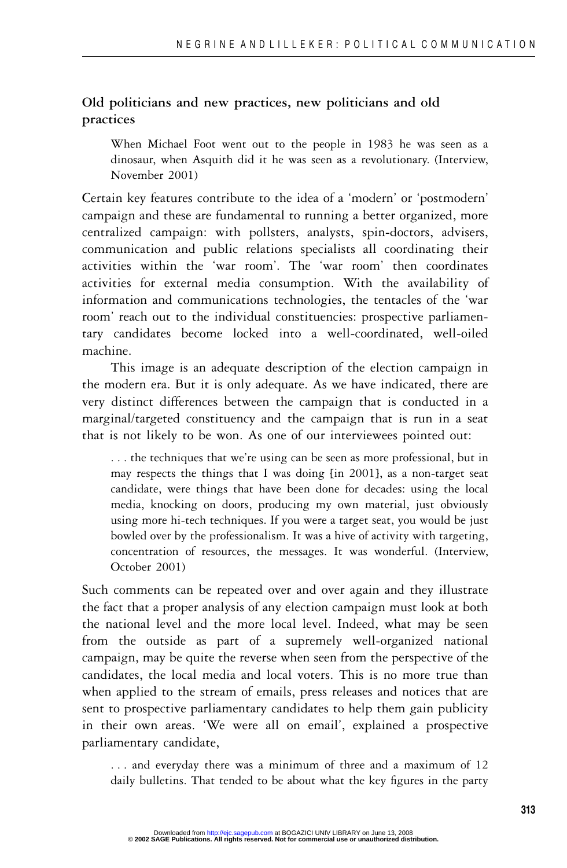#### **Old politicians and new practices, new politicians and old practices**

When Michael Foot went out to the people in 1983 he was seen as a dinosaur, when Asquith did it he was seen as a revolutionary. (Interview, November 2001)

Certain key features contribute to the idea of a 'modern' or 'postmodern' campaign and these are fundamental to running a better organized, more centralized campaign: with pollsters, analysts, spin-doctors, advisers, communication and public relations specialists all coordinating their activities within the 'war room'. The 'war room' then coordinates activities for external media consumption. With the availability of information and communications technologies, the tentacles of the 'war room' reach out to the individual constituencies: prospective parliamentary candidates become locked into a well-coordinated, well-oiled machine.

This image is an adequate description of the election campaign in the modern era. But it is only adequate. As we have indicated, there are very distinct differences between the campaign that is conducted in a marginal/targeted constituency and the campaign that is run in a seat that is not likely to be won. As one of our interviewees pointed out:

. . . the techniques that we're using can be seen as more professional, but in may respects the things that I was doing [in 2001], as a non-target seat candidate, were things that have been done for decades: using the local media, knocking on doors, producing my own material, just obviously using more hi-tech techniques. If you were a target seat, you would be just bowled over by the professionalism. It was a hive of activity with targeting, concentration of resources, the messages. It was wonderful. (Interview, October 2001)

Such comments can be repeated over and over again and they illustrate the fact that a proper analysis of any election campaign must look at both the national level and the more local level. Indeed, what may be seen from the outside as part of a supremely well-organized national campaign, may be quite the reverse when seen from the perspective of the candidates, the local media and local voters. This is no more true than when applied to the stream of emails, press releases and notices that are sent to prospective parliamentary candidates to help them gain publicity in their own areas. 'We were all on email', explained a prospective parliamentary candidate,

. . . and everyday there was a minimum of three and a maximum of 12 daily bulletins. That tended to be about what the key figures in the party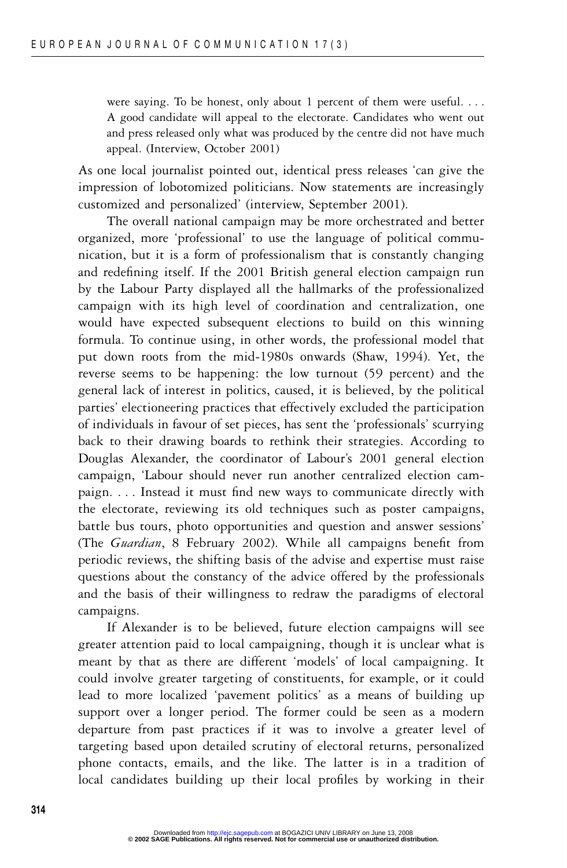were saying. To be honest, only about 1 percent of them were useful. . . . A good candidate will appeal to the electorate. Candidates who went out and press released only what was produced by the centre did not have much appeal. (Interview, October 2001)

As one local journalist pointed out, identical press releases 'can give the impression of lobotomized politicians. Now statements are increasingly customized and personalized' (interview, September 2001).

The overall national campaign may be more orchestrated and better organized, more 'professional' to use the language of political communication, but it is a form of professionalism that is constantly changing and redefining itself. If the 2001 British general election campaign run by the Labour Party displayed all the hallmarks of the professionalized campaign with its high level of coordination and centralization, one would have expected subsequent elections to build on this winning formula. To continue using, in other words, the professional model that put down roots from the mid-1980s onwards (Shaw, 1994). Yet, the reverse seems to be happening: the low turnout (59 percent) and the general lack of interest in politics, caused, it is believed, by the political parties' electioneering practices that effectively excluded the participation of individuals in favour of set pieces, has sent the 'professionals' scurrying back to their drawing boards to rethink their strategies. According to Douglas Alexander, the coordinator of Labour's 2001 general election campaign, 'Labour should never run another centralized election campaign. . . . Instead it must find new ways to communicate directly with the electorate, reviewing its old techniques such as poster campaigns, battle bus tours, photo opportunities and question and answer sessions' (The *Guardian*, 8 February 2002). While all campaigns benefit from periodic reviews, the shifting basis of the advise and expertise must raise questions about the constancy of the advice offered by the professionals and the basis of their willingness to redraw the paradigms of electoral campaigns.

If Alexander is to be believed, future election campaigns will see greater attention paid to local campaigning, though it is unclear what is meant by that as there are different 'models' of local campaigning. It could involve greater targeting of constituents, for example, or it could lead to more localized 'pavement politics' as a means of building up support over a longer period. The former could be seen as a modern departure from past practices if it was to involve a greater level of targeting based upon detailed scrutiny of electoral returns, personalized phone contacts, emails, and the like. The latter is in a tradition of local candidates building up their local profiles by working in their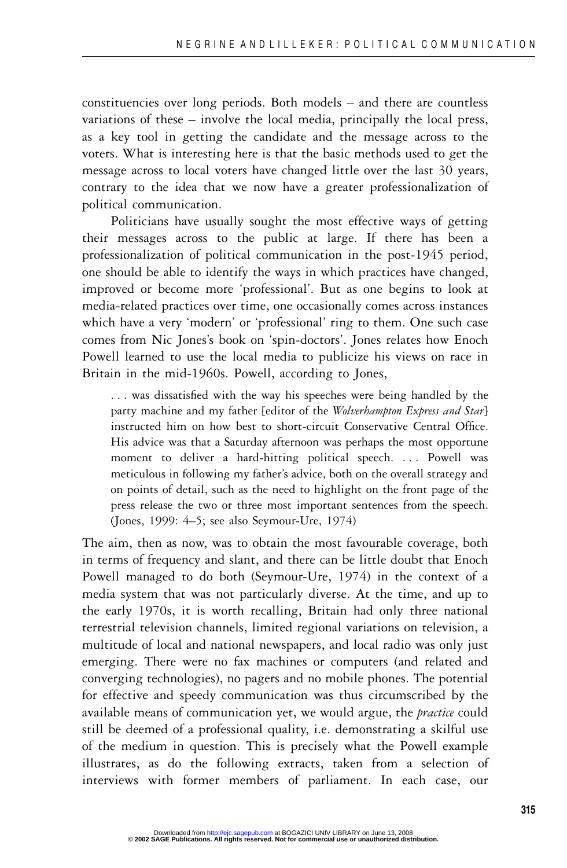constituencies over long periods. Both models – and there are countless variations of these – involve the local media, principally the local press, as a key tool in getting the candidate and the message across to the voters. What is interesting here is that the basic methods used to get the message across to local voters have changed little over the last 30 years, contrary to the idea that we now have a greater professionalization of political communication.

Politicians have usually sought the most effective ways of getting their messages across to the public at large. If there has been a professionalization of political communication in the post-1945 period, one should be able to identify the ways in which practices have changed, improved or become more 'professional'. But as one begins to look at media-related practices over time, one occasionally comes across instances which have a very 'modern' or 'professional' ring to them. One such case comes from Nic Jones's book on 'spin-doctors'. Jones relates how Enoch Powell learned to use the local media to publicize his views on race in Britain in the mid-1960s. Powell, according to Jones,

. . . was dissatisfied with the way his speeches were being handled by the party machine and my father [editor of the *Wolverhampton Express and Star*] instructed him on how best to short-circuit Conservative Central Office. His advice was that a Saturday afternoon was perhaps the most opportune moment to deliver a hard-hitting political speech. . . . Powell was meticulous in following my father's advice, both on the overall strategy and on points of detail, such as the need to highlight on the front page of the press release the two or three most important sentences from the speech. (Jones, 1999: 4–5; see also Seymour-Ure, 1974)

The aim, then as now, was to obtain the most favourable coverage, both in terms of frequency and slant, and there can be little doubt that Enoch Powell managed to do both (Seymour-Ure, 1974) in the context of a media system that was not particularly diverse. At the time, and up to the early 1970s, it is worth recalling, Britain had only three national terrestrial television channels, limited regional variations on television, a multitude of local and national newspapers, and local radio was only just emerging. There were no fax machines or computers (and related and converging technologies), no pagers and no mobile phones. The potential for effective and speedy communication was thus circumscribed by the available means of communication yet, we would argue, the *practice* could still be deemed of a professional quality, i.e. demonstrating a skilful use of the medium in question. This is precisely what the Powell example illustrates, as do the following extracts, taken from a selection of interviews with former members of parliament. In each case, our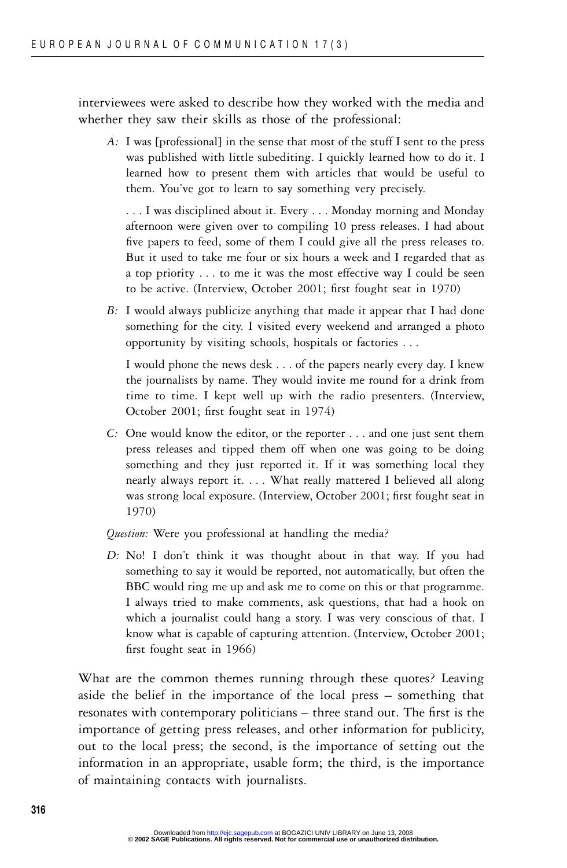interviewees were asked to describe how they worked with the media and whether they saw their skills as those of the professional:

*A:* I was [professional] in the sense that most of the stuff I sent to the press was published with little subediting. I quickly learned how to do it. I learned how to present them with articles that would be useful to them. You've got to learn to say something very precisely.

. . . I was disciplined about it. Every . . . Monday morning and Monday afternoon were given over to compiling 10 press releases. I had about five papers to feed, some of them I could give all the press releases to. But it used to take me four or six hours a week and I regarded that as a top priority . . . to me it was the most effective way I could be seen to be active. (Interview, October 2001; first fought seat in 1970)

*B:* I would always publicize anything that made it appear that I had done something for the city. I visited every weekend and arranged a photo opportunity by visiting schools, hospitals or factories . . .

I would phone the news desk . . . of the papers nearly every day. I knew the journalists by name. They would invite me round for a drink from time to time. I kept well up with the radio presenters. (Interview, October 2001; first fought seat in 1974)

*C:* One would know the editor, or the reporter . . . and one just sent them press releases and tipped them off when one was going to be doing something and they just reported it. If it was something local they nearly always report it. . . . What really mattered I believed all along was strong local exposure. (Interview, October 2001; first fought seat in 1970)

*Question:* Were you professional at handling the media?

*D:* No! I don't think it was thought about in that way. If you had something to say it would be reported, not automatically, but often the BBC would ring me up and ask me to come on this or that programme. I always tried to make comments, ask questions, that had a hook on which a journalist could hang a story. I was very conscious of that. I know what is capable of capturing attention. (Interview, October 2001; first fought seat in 1966)

What are the common themes running through these quotes? Leaving aside the belief in the importance of the local press – something that resonates with contemporary politicians – three stand out. The first is the importance of getting press releases, and other information for publicity, out to the local press; the second, is the importance of setting out the information in an appropriate, usable form; the third, is the importance of maintaining contacts with journalists.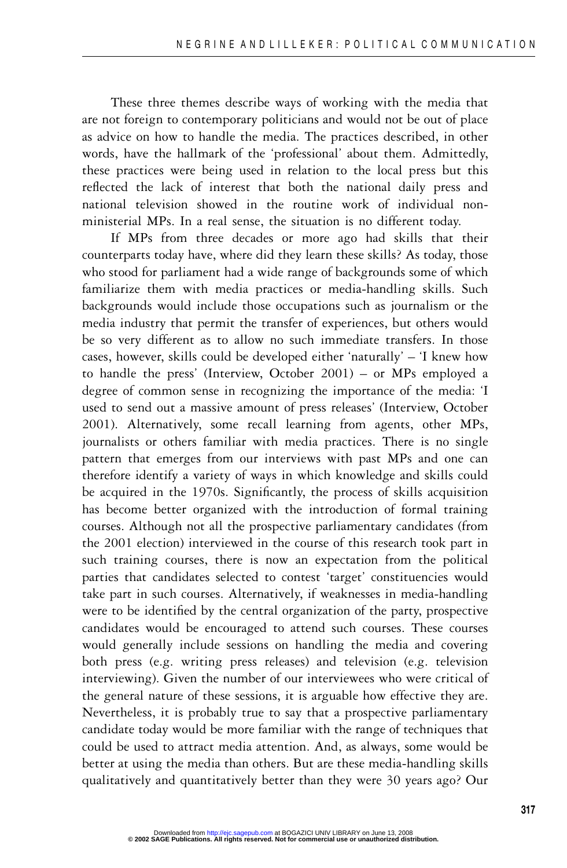These three themes describe ways of working with the media that are not foreign to contemporary politicians and would not be out of place as advice on how to handle the media. The practices described, in other words, have the hallmark of the 'professional' about them. Admittedly, these practices were being used in relation to the local press but this reflected the lack of interest that both the national daily press and national television showed in the routine work of individual nonministerial MPs. In a real sense, the situation is no different today.

If MPs from three decades or more ago had skills that their counterparts today have, where did they learn these skills? As today, those who stood for parliament had a wide range of backgrounds some of which familiarize them with media practices or media-handling skills. Such backgrounds would include those occupations such as journalism or the media industry that permit the transfer of experiences, but others would be so very different as to allow no such immediate transfers. In those cases, however, skills could be developed either 'naturally' – 'I knew how to handle the press' (Interview, October 2001) – or MPs employed a degree of common sense in recognizing the importance of the media: 'I used to send out a massive amount of press releases' (Interview, October 2001). Alternatively, some recall learning from agents, other MPs, journalists or others familiar with media practices. There is no single pattern that emerges from our interviews with past MPs and one can therefore identify a variety of ways in which knowledge and skills could be acquired in the 1970s. Significantly, the process of skills acquisition has become better organized with the introduction of formal training courses. Although not all the prospective parliamentary candidates (from the 2001 election) interviewed in the course of this research took part in such training courses, there is now an expectation from the political parties that candidates selected to contest 'target' constituencies would take part in such courses. Alternatively, if weaknesses in media-handling were to be identified by the central organization of the party, prospective candidates would be encouraged to attend such courses. These courses would generally include sessions on handling the media and covering both press (e.g. writing press releases) and television (e.g. television interviewing). Given the number of our interviewees who were critical of the general nature of these sessions, it is arguable how effective they are. Nevertheless, it is probably true to say that a prospective parliamentary candidate today would be more familiar with the range of techniques that could be used to attract media attention. And, as always, some would be better at using the media than others. But are these media-handling skills qualitatively and quantitatively better than they were 30 years ago? Our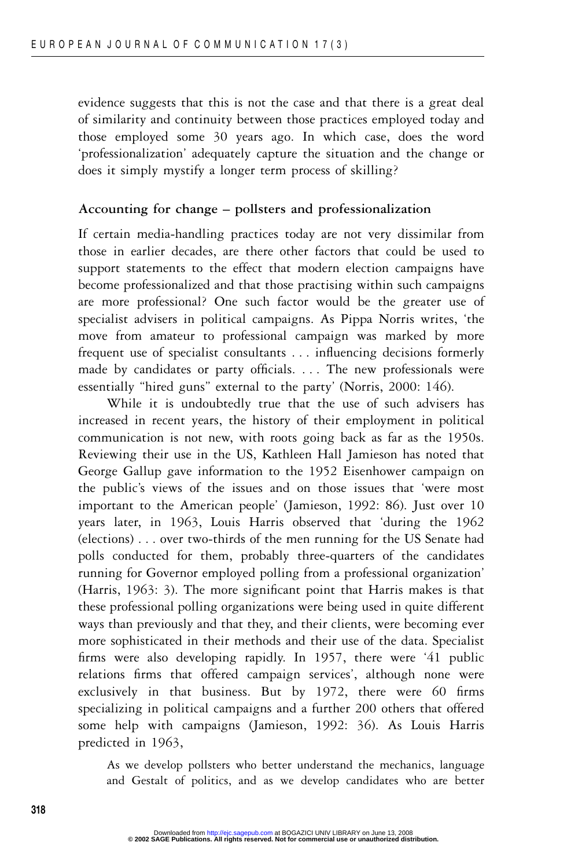evidence suggests that this is not the case and that there is a great deal of similarity and continuity between those practices employed today and those employed some 30 years ago. In which case, does the word 'professionalization' adequately capture the situation and the change or does it simply mystify a longer term process of skilling?

#### **Accounting for change – pollsters and professionalization**

If certain media-handling practices today are not very dissimilar from those in earlier decades, are there other factors that could be used to support statements to the effect that modern election campaigns have become professionalized and that those practising within such campaigns are more professional? One such factor would be the greater use of specialist advisers in political campaigns. As Pippa Norris writes, 'the move from amateur to professional campaign was marked by more frequent use of specialist consultants . . . influencing decisions formerly made by candidates or party officials. . . . The new professionals were essentially "hired guns" external to the party' (Norris, 2000: 146).

While it is undoubtedly true that the use of such advisers has increased in recent years, the history of their employment in political communication is not new, with roots going back as far as the 1950s. Reviewing their use in the US, Kathleen Hall Jamieson has noted that George Gallup gave information to the 1952 Eisenhower campaign on the public's views of the issues and on those issues that 'were most important to the American people' (Jamieson, 1992: 86). Just over 10 years later, in 1963, Louis Harris observed that 'during the 1962 (elections) . . . over two-thirds of the men running for the US Senate had polls conducted for them, probably three-quarters of the candidates running for Governor employed polling from a professional organization' (Harris, 1963: 3). The more significant point that Harris makes is that these professional polling organizations were being used in quite different ways than previously and that they, and their clients, were becoming ever more sophisticated in their methods and their use of the data. Specialist firms were also developing rapidly. In 1957, there were '41 public relations firms that offered campaign services', although none were exclusively in that business. But by 1972, there were 60 firms specializing in political campaigns and a further 200 others that offered some help with campaigns (Jamieson, 1992: 36). As Louis Harris predicted in 1963,

As we develop pollsters who better understand the mechanics, language and Gestalt of politics, and as we develop candidates who are better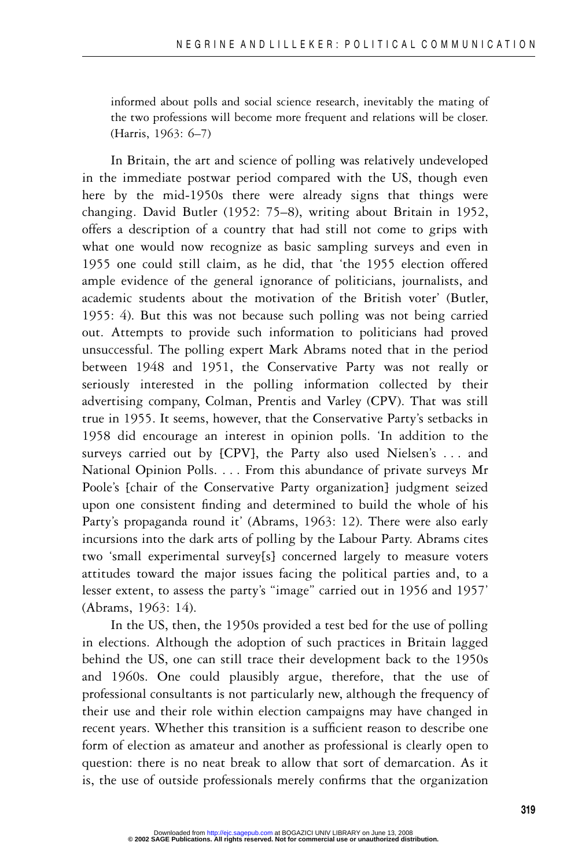informed about polls and social science research, inevitably the mating of the two professions will become more frequent and relations will be closer. (Harris, 1963: 6–7)

In Britain, the art and science of polling was relatively undeveloped in the immediate postwar period compared with the US, though even here by the mid-1950s there were already signs that things were changing. David Butler (1952: 75–8), writing about Britain in 1952, offers a description of a country that had still not come to grips with what one would now recognize as basic sampling surveys and even in 1955 one could still claim, as he did, that 'the 1955 election offered ample evidence of the general ignorance of politicians, journalists, and academic students about the motivation of the British voter' (Butler, 1955: 4). But this was not because such polling was not being carried out. Attempts to provide such information to politicians had proved unsuccessful. The polling expert Mark Abrams noted that in the period between 1948 and 1951, the Conservative Party was not really or seriously interested in the polling information collected by their advertising company, Colman, Prentis and Varley (CPV). That was still true in 1955. It seems, however, that the Conservative Party's setbacks in 1958 did encourage an interest in opinion polls. 'In addition to the surveys carried out by [CPV], the Party also used Nielsen's . . . and National Opinion Polls. . . . From this abundance of private surveys Mr Poole's [chair of the Conservative Party organization] judgment seized upon one consistent finding and determined to build the whole of his Party's propaganda round it' (Abrams, 1963: 12). There were also early incursions into the dark arts of polling by the Labour Party. Abrams cites two 'small experimental survey[s] concerned largely to measure voters attitudes toward the major issues facing the political parties and, to a lesser extent, to assess the party's "image" carried out in 1956 and 1957' (Abrams, 1963: 14).

In the US, then, the 1950s provided a test bed for the use of polling in elections. Although the adoption of such practices in Britain lagged behind the US, one can still trace their development back to the 1950s and 1960s. One could plausibly argue, therefore, that the use of professional consultants is not particularly new, although the frequency of their use and their role within election campaigns may have changed in recent years. Whether this transition is a sufficient reason to describe one form of election as amateur and another as professional is clearly open to question: there is no neat break to allow that sort of demarcation. As it is, the use of outside professionals merely confirms that the organization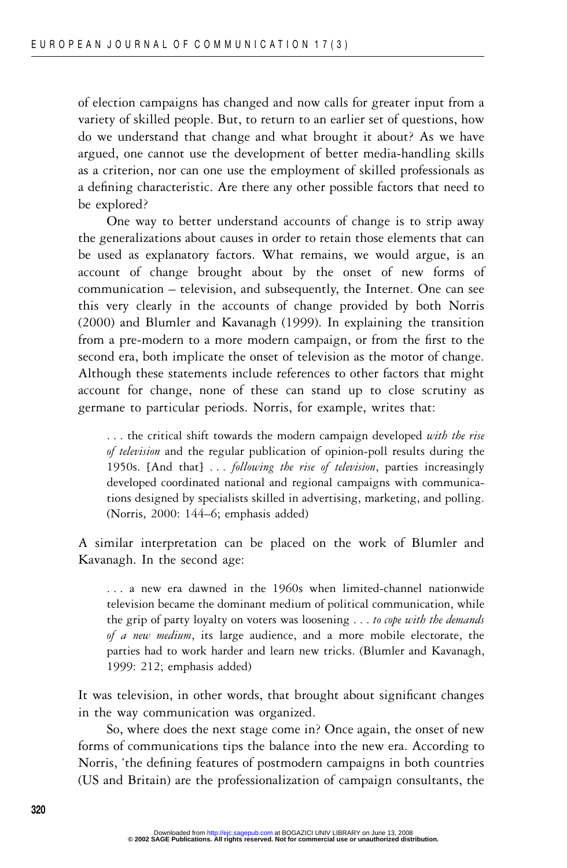of election campaigns has changed and now calls for greater input from a variety of skilled people. But, to return to an earlier set of questions, how do we understand that change and what brought it about? As we have argued, one cannot use the development of better media-handling skills as a criterion, nor can one use the employment of skilled professionals as a defining characteristic. Are there any other possible factors that need to be explored?

One way to better understand accounts of change is to strip away the generalizations about causes in order to retain those elements that can be used as explanatory factors. What remains, we would argue, is an account of change brought about by the onset of new forms of communication – television, and subsequently, the Internet. One can see this very clearly in the accounts of change provided by both Norris (2000) and Blumler and Kavanagh (1999). In explaining the transition from a pre-modern to a more modern campaign, or from the first to the second era, both implicate the onset of television as the motor of change. Although these statements include references to other factors that might account for change, none of these can stand up to close scrutiny as germane to particular periods. Norris, for example, writes that:

. . . the critical shift towards the modern campaign developed *with the rise of television* and the regular publication of opinion-poll results during the 1950s. [And that] . . . *following the rise of television*, parties increasingly developed coordinated national and regional campaigns with communications designed by specialists skilled in advertising, marketing, and polling. (Norris, 2000: 144–6; emphasis added)

A similar interpretation can be placed on the work of Blumler and Kavanagh. In the second age:

. . . a new era dawned in the 1960s when limited-channel nationwide television became the dominant medium of political communication, while the grip of party loyalty on voters was loosening . . . *to cope with the demands of a new medium*, its large audience, and a more mobile electorate, the parties had to work harder and learn new tricks. (Blumler and Kavanagh, 1999: 212; emphasis added)

It was television, in other words, that brought about significant changes in the way communication was organized.

So, where does the next stage come in? Once again, the onset of new forms of communications tips the balance into the new era. According to Norris, 'the defining features of postmodern campaigns in both countries (US and Britain) are the professionalization of campaign consultants, the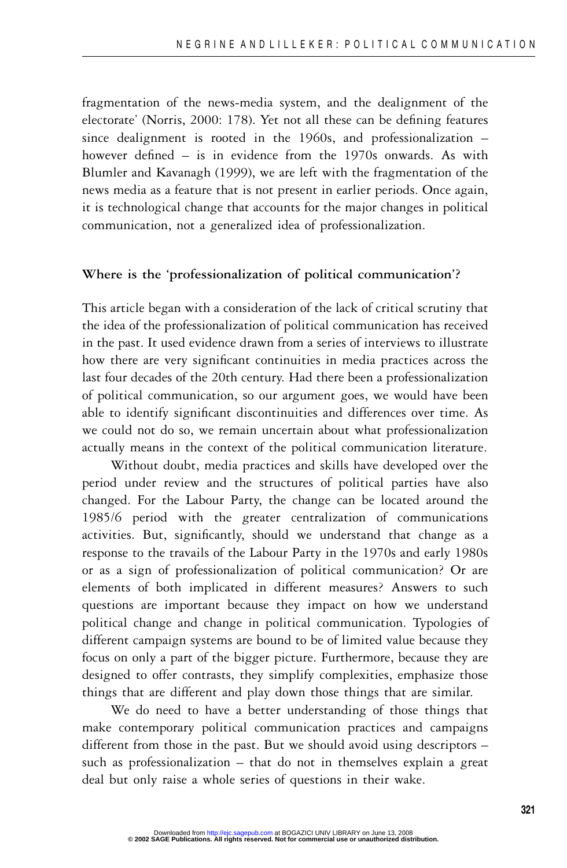fragmentation of the news-media system, and the dealignment of the electorate' (Norris, 2000: 178). Yet not all these can be defining features since dealignment is rooted in the 1960s, and professionalization – however defined – is in evidence from the 1970s onwards. As with Blumler and Kavanagh (1999), we are left with the fragmentation of the news media as a feature that is not present in earlier periods. Once again, it is technological change that accounts for the major changes in political communication, not a generalized idea of professionalization.

#### **Where is the 'professionalization of political communication'?**

This article began with a consideration of the lack of critical scrutiny that the idea of the professionalization of political communication has received in the past. It used evidence drawn from a series of interviews to illustrate how there are very significant continuities in media practices across the last four decades of the 20th century. Had there been a professionalization of political communication, so our argument goes, we would have been able to identify significant discontinuities and differences over time. As we could not do so, we remain uncertain about what professionalization actually means in the context of the political communication literature.

Without doubt, media practices and skills have developed over the period under review and the structures of political parties have also changed. For the Labour Party, the change can be located around the 1985/6 period with the greater centralization of communications activities. But, significantly, should we understand that change as a response to the travails of the Labour Party in the 1970s and early 1980s or as a sign of professionalization of political communication? Or are elements of both implicated in different measures? Answers to such questions are important because they impact on how we understand political change and change in political communication. Typologies of different campaign systems are bound to be of limited value because they focus on only a part of the bigger picture. Furthermore, because they are designed to offer contrasts, they simplify complexities, emphasize those things that are different and play down those things that are similar.

We do need to have a better understanding of those things that make contemporary political communication practices and campaigns different from those in the past. But we should avoid using descriptors – such as professionalization – that do not in themselves explain a great deal but only raise a whole series of questions in their wake.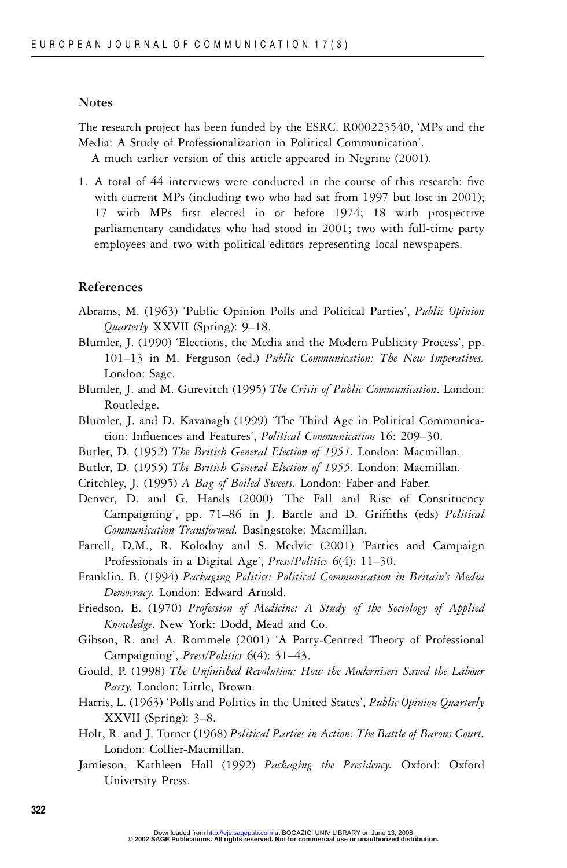#### **Notes**

The research project has been funded by the ESRC. R000223540, 'MPs and the Media: A Study of Professionalization in Political Communication'.

A much earlier version of this article appeared in Negrine (2001).

1. A total of 44 interviews were conducted in the course of this research: five with current MPs (including two who had sat from 1997 but lost in 2001); 17 with MPs first elected in or before 1974; 18 with prospective parliamentary candidates who had stood in 2001; two with full-time party employees and two with political editors representing local newspapers.

#### **References**

- Abrams, M. (1963) 'Public Opinion Polls and Political Parties', *Public Opinion Quarterly* XXVII (Spring): 9–18.
- Blumler, J. (1990) 'Elections, the Media and the Modern Publicity Process', pp. 101–13 in M. Ferguson (ed.) *Public Communication: The New Imperatives.* London: Sage.
- Blumler, J. and M. Gurevitch (1995) *The Crisis of Public Communication*. London: Routledge.
- Blumler, J. and D. Kavanagh (1999) 'The Third Age in Political Communication: Influences and Features', *Political Communication* 16: 209–30.
- Butler, D. (1952) *The British General Election of 1951.* London: Macmillan.
- Butler, D. (1955) *The British General Election of 1955.* London: Macmillan.
- Critchley, J. (1995) *A Bag of Boiled Sweets.* London: Faber and Faber.
- Denver, D. and G. Hands (2000) 'The Fall and Rise of Constituency Campaigning', pp. 71–86 in J. Bartle and D. Griffiths (eds) *Political Communication Transformed.* Basingstoke: Macmillan.
- Farrell, D.M., R. Kolodny and S. Medvic (2001) 'Parties and Campaign Professionals in a Digital Age', *Press/Politics* 6(4): 11–30.
- Franklin, B. (1994) *Packaging Politics: Political Communication in Britain's Media Democracy.* London: Edward Arnold.
- Friedson, E. (1970) *Profession of Medicine: A Study of the Sociology of Applied Knowledge*. New York: Dodd, Mead and Co.
- Gibson, R. and A. Rommele (2001) 'A Party-Centred Theory of Professional Campaigning', *Press/Politics* 6(4): 31–43.
- Gould, P. (1998) *The Unfinished Revolution: How the Modernisers Saved the Labour Party.* London: Little, Brown.
- Harris, L. (1963) 'Polls and Politics in the United States', *Public Opinion Quarterly* XXVII (Spring): 3–8.
- Holt, R. and J. Turner (1968) *Political Parties in Action: The Battle of Barons Court.* London: Collier-Macmillan.
- Jamieson, Kathleen Hall (1992) *Packaging the Presidency.* Oxford: Oxford University Press.